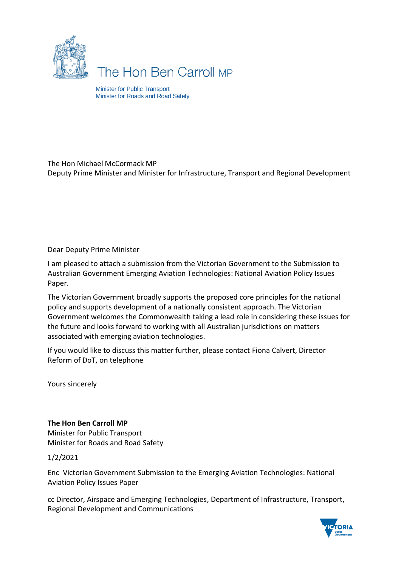

# The Hon Ben Carroll MP

Minister for Public Transport Minister for Roads and Road Safety

#### The Hon Michael McCormack MP Deputy Prime Minister and Minister for Infrastructure, Transport and Regional Development

Dear Deputy Prime Minister

I am pleased to attach a submission from the Victorian Government to the Submission to Australian Government Emerging Aviation Technologies: National Aviation Policy Issues Paper.

The Victorian Government broadly supports the proposed core principles for the national policy and supports development of a nationally consistent approach. The Victorian Government welcomes the Commonwealth taking a lead role in considering these issues for the future and looks forward to working with all Australian jurisdictions on matters associated with emerging aviation technologies.

If you would like to discuss this matter further, please contact Fiona Calvert, Director Reform of DoT, on telephone

Yours sincerely

### **The Hon Ben Carroll MP**

Minister for Public Transport Minister for Roads and Road Safety

1/2/2021

Enc Victorian Government Submission to the Emerging Aviation Technologies: National Aviation Policy Issues Paper

cc Director, Airspace and Emerging Technologies, Department of Infrastructure, Transport, Regional Development and Communications

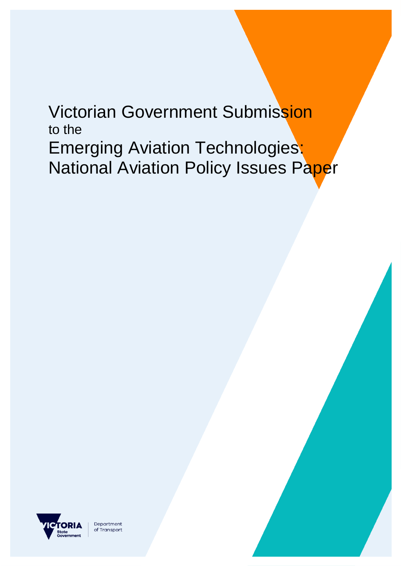# Victorian Government Submission to the Emerging Aviation Technologies: **National Aviation Policy Issues Paper**



Department of Transport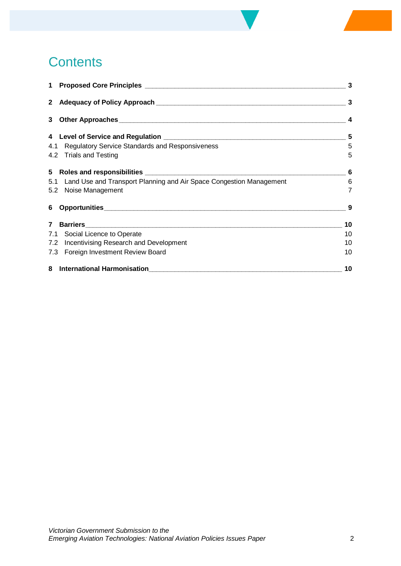# **Contents**

|                                                                         | $\mathbf{3}$    |
|-------------------------------------------------------------------------|-----------------|
|                                                                         |                 |
|                                                                         |                 |
|                                                                         |                 |
| 4.1 Regulatory Service Standards and Responsiveness                     | 5               |
| 4.2 Trials and Testing                                                  | 5               |
|                                                                         |                 |
| 5.1 Land Use and Transport Planning and Air Space Congestion Management | $6\overline{6}$ |
| 5.2 Noise Management                                                    | $\overline{7}$  |
| 6 Opportunities                                                         | 9               |
|                                                                         | 10              |
| 7.1 Social Licence to Operate                                           | 10              |
| 7.2 Incentivising Research and Development                              | 10              |
| 7.3 Foreign Investment Review Board                                     | 10              |
|                                                                         | 10              |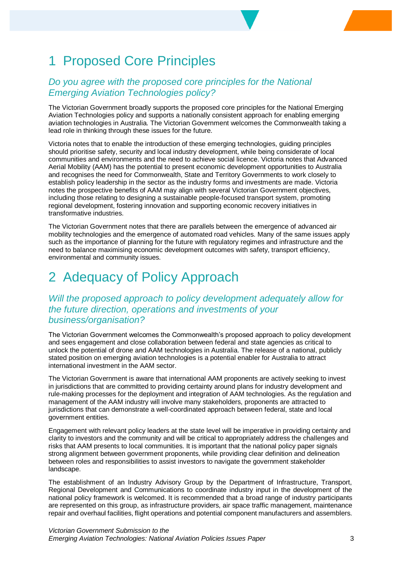# 1 Proposed Core Principles

### *Do you agree with the proposed core principles for the National Emerging Aviation Technologies policy?*

The Victorian Government broadly supports the proposed core principles for the National Emerging Aviation Technologies policy and supports a nationally consistent approach for enabling emerging aviation technologies in Australia. The Victorian Government welcomes the Commonwealth taking a lead role in thinking through these issues for the future.

Victoria notes that to enable the introduction of these emerging technologies, guiding principles should prioritise safety, security and local industry development, while being considerate of local communities and environments and the need to achieve social licence. Victoria notes that Advanced Aerial Mobility (AAM) has the potential to present economic development opportunities to Australia and recognises the need for Commonwealth, State and Territory Governments to work closely to establish policy leadership in the sector as the industry forms and investments are made. Victoria notes the prospective benefits of AAM may align with several Victorian Government objectives, including those relating to designing a sustainable people-focused transport system, promoting regional development, fostering innovation and supporting economic recovery initiatives in transformative industries.

The Victorian Government notes that there are parallels between the emergence of advanced air mobility technologies and the emergence of automated road vehicles. Many of the same issues apply such as the importance of planning for the future with regulatory regimes and infrastructure and the need to balance maximising economic development outcomes with safety, transport efficiency, environmental and community issues.

### 2 Adequacy of Policy Approach

### *Will the proposed approach to policy development adequately allow for the future direction, operations and investments of your business/organisation?*

The Victorian Government welcomes the Commonwealth's proposed approach to policy development and sees engagement and close collaboration between federal and state agencies as critical to unlock the potential of drone and AAM technologies in Australia. The release of a national, publicly stated position on emerging aviation technologies is a potential enabler for Australia to attract international investment in the AAM sector.

The Victorian Government is aware that international AAM proponents are actively seeking to invest in jurisdictions that are committed to providing certainty around plans for industry development and rule-making processes for the deployment and integration of AAM technologies. As the regulation and management of the AAM industry will involve many stakeholders, proponents are attracted to jurisdictions that can demonstrate a well-coordinated approach between federal, state and local government entities.

Engagement with relevant policy leaders at the state level will be imperative in providing certainty and clarity to investors and the community and will be critical to appropriately address the challenges and risks that AAM presents to local communities. It is important that the national policy paper signals strong alignment between government proponents, while providing clear definition and delineation between roles and responsibilities to assist investors to navigate the government stakeholder landscape.

The establishment of an Industry Advisory Group by the Department of Infrastructure, Transport, Regional Development and Communications to coordinate industry input in the development of the national policy framework is welcomed. It is recommended that a broad range of industry participants are represented on this group, as infrastructure providers, air space traffic management, maintenance repair and overhaul facilities, flight operations and potential component manufacturers and assemblers.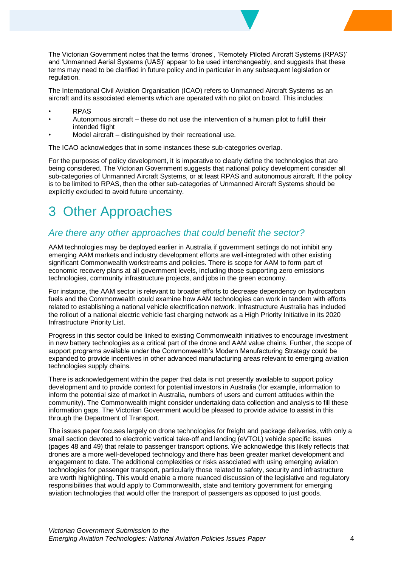The Victorian Government notes that the terms 'drones', 'Remotely Piloted Aircraft Systems (RPAS)' and 'Unmanned Aerial Systems (UAS)' appear to be used interchangeably, and suggests that these terms may need to be clarified in future policy and in particular in any subsequent legislation or regulation.

The International Civil Aviation Organisation (ICAO) refers to Unmanned Aircraft Systems as an aircraft and its associated elements which are operated with no pilot on board. This includes:

- RPAS
- Autonomous aircraft these do not use the intervention of a human pilot to fulfill their intended flight
- Model aircraft distinguished by their recreational use.

The ICAO acknowledges that in some instances these sub-categories overlap.

For the purposes of policy development, it is imperative to clearly define the technologies that are being considered. The Victorian Government suggests that national policy development consider all sub-categories of Unmanned Aircraft Systems, or at least RPAS and autonomous aircraft. If the policy is to be limited to RPAS, then the other sub-categories of Unmanned Aircraft Systems should be explicitly excluded to avoid future uncertainty.

# 3 Other Approaches

### *Are there any other approaches that could benefit the sector?*

AAM technologies may be deployed earlier in Australia if government settings do not inhibit any emerging AAM markets and industry development efforts are well-integrated with other existing significant Commonwealth workstreams and policies. There is scope for AAM to form part of economic recovery plans at all government levels, including those supporting zero emissions technologies, community infrastructure projects, and jobs in the green economy.

For instance, the AAM sector is relevant to broader efforts to decrease dependency on hydrocarbon fuels and the Commonwealth could examine how AAM technologies can work in tandem with efforts related to establishing a national vehicle electrification network. Infrastructure Australia has included the rollout of a national electric vehicle fast charging network as a High Priority Initiative in its 2020 Infrastructure Priority List.

Progress in this sector could be linked to existing Commonwealth initiatives to encourage investment in new battery technologies as a critical part of the drone and AAM value chains. Further, the scope of support programs available under the Commonwealth's Modern Manufacturing Strategy could be expanded to provide incentives in other advanced manufacturing areas relevant to emerging aviation technologies supply chains.

There is acknowledgement within the paper that data is not presently available to support policy development and to provide context for potential investors in Australia (for example, information to inform the potential size of market in Australia, numbers of users and current attitudes within the community). The Commonwealth might consider undertaking data collection and analysis to fill these information gaps. The Victorian Government would be pleased to provide advice to assist in this through the Department of Transport.

The issues paper focuses largely on drone technologies for freight and package deliveries, with only a small section devoted to electronic vertical take-off and landing (eVTOL) vehicle specific issues (pages 48 and 49) that relate to passenger transport options. We acknowledge this likely reflects that drones are a more well-developed technology and there has been greater market development and engagement to date. The additional complexities or risks associated with using emerging aviation technologies for passenger transport, particularly those related to safety, security and infrastructure are worth highlighting. This would enable a more nuanced discussion of the legislative and regulatory responsibilities that would apply to Commonwealth, state and territory government for emerging aviation technologies that would offer the transport of passengers as opposed to just goods.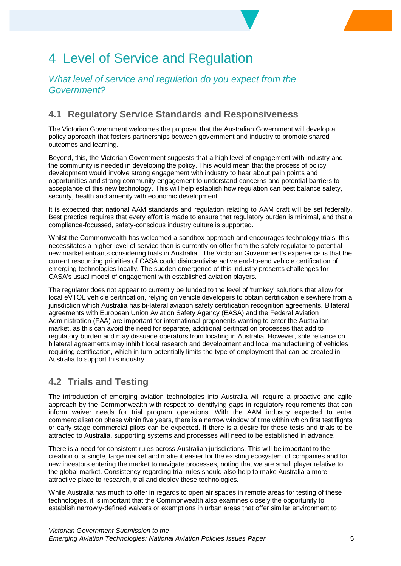# 4 Level of Service and Regulation

### *What level of service and regulation do you expect from the Government?*

### **4.1 Regulatory Service Standards and Responsiveness**

The Victorian Government welcomes the proposal that the Australian Government will develop a policy approach that fosters partnerships between government and industry to promote shared outcomes and learning.

Beyond, this, the Victorian Government suggests that a high level of engagement with industry and the community is needed in developing the policy. This would mean that the process of policy development would involve strong engagement with industry to hear about pain points and opportunities and strong community engagement to understand concerns and potential barriers to acceptance of this new technology. This will help establish how regulation can best balance safety, security, health and amenity with economic development.

It is expected that national AAM standards and regulation relating to AAM craft will be set federally. Best practice requires that every effort is made to ensure that regulatory burden is minimal, and that a compliance-focussed, safety-conscious industry culture is supported.

Whilst the Commonwealth has welcomed a sandbox approach and encourages technology trials, this necessitates a higher level of service than is currently on offer from the safety regulator to potential new market entrants considering trials in Australia. The Victorian Government's experience is that the current resourcing priorities of CASA could disincentivise active end-to-end vehicle certification of emerging technologies locally. The sudden emergence of this industry presents challenges for CASA's usual model of engagement with established aviation players.

The regulator does not appear to currently be funded to the level of 'turnkey' solutions that allow for local eVTOL vehicle certification, relying on vehicle developers to obtain certification elsewhere from a jurisdiction which Australia has bi-lateral aviation safety certification recognition agreements. Bilateral agreements with European Union Aviation Safety Agency (EASA) and the Federal Aviation Administration (FAA) are important for international proponents wanting to enter the Australian market, as this can avoid the need for separate, additional certification processes that add to regulatory burden and may dissuade operators from locating in Australia. However, sole reliance on bilateral agreements may inhibit local research and development and local manufacturing of vehicles requiring certification, which in turn potentially limits the type of employment that can be created in Australia to support this industry.

### **4.2 Trials and Testing**

The introduction of emerging aviation technologies into Australia will require a proactive and agile approach by the Commonwealth with respect to identifying gaps in regulatory requirements that can inform waiver needs for trial program operations. With the AAM industry expected to enter commercialisation phase within five years, there is a narrow window of time within which first test flights or early stage commercial pilots can be expected. If there is a desire for these tests and trials to be attracted to Australia, supporting systems and processes will need to be established in advance.

There is a need for consistent rules across Australian jurisdictions. This will be important to the creation of a single, large market and make it easier for the existing ecosystem of companies and for new investors entering the market to navigate processes, noting that we are small player relative to the global market. Consistency regarding trial rules should also help to make Australia a more attractive place to research, trial and deploy these technologies.

While Australia has much to offer in regards to open air spaces in remote areas for testing of these technologies, it is important that the Commonwealth also examines closely the opportunity to establish narrowly-defined waivers or exemptions in urban areas that offer similar environment to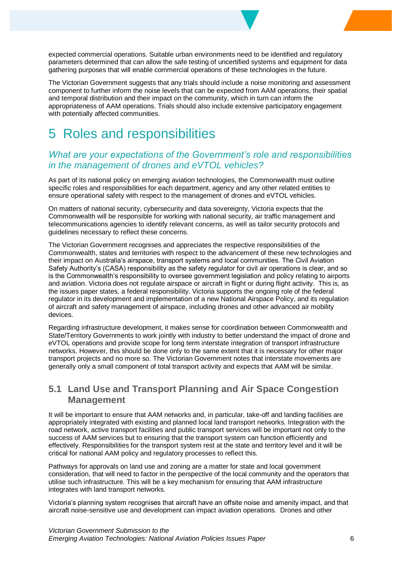expected commercial operations. Suitable urban environments need to be identified and regulatory parameters determined that can allow the safe testing of uncertified systems and equipment for data gathering purposes that will enable commercial operations of these technologies in the future.

The Victorian Government suggests that any trials should include a noise monitoring and assessment component to further inform the noise levels that can be expected from AAM operations, their spatial and temporal distribution and their impact on the community, which in turn can inform the appropriateness of AAM operations. Trials should also include extensive participatory engagement with potentially affected communities.

### 5 Roles and responsibilities

### *What are your expectations of the Government's role and responsibilities in the management of drones and eVTOL vehicles?*

As part of its national policy on emerging aviation technologies, the Commonwealth must outline specific roles and responsibilities for each department, agency and any other related entities to ensure operational safety with respect to the management of drones and eVTOL vehicles.

On matters of national security, cybersecurity and data sovereignty, Victoria expects that the Commonwealth will be responsible for working with national security, air traffic management and telecommunications agencies to identify relevant concerns, as well as tailor security protocols and guidelines necessary to reflect these concerns.

The Victorian Government recognises and appreciates the respective responsibilities of the Commonwealth, states and territories with respect to the advancement of these new technologies and their impact on Australia's airspace, transport systems and local communities. The Civil Aviation Safety Authority's (CASA) responsibility as the safety regulator for civil air operations is clear, and so is the Commonwealth's responsibility to oversee government legislation and policy relating to airports and aviation. Victoria does not regulate airspace or aircraft in flight or during flight activity. This is, as the issues paper states, a federal responsibility. Victoria supports the ongoing role of the federal regulator in its development and implementation of a new National Airspace Policy, and its regulation of aircraft and safety management of airspace, including drones and other advanced air mobility devices.

Regarding infrastructure development, it makes sense for coordination between Commonwealth and State/Territory Governments to work jointly with industry to better understand the impact of drone and eVTOL operations and provide scope for long term interstate integration of transport infrastructure networks. However, this should be done only to the same extent that it is necessary for other major transport projects and no more so. The Victorian Government notes that interstate movements are generally only a small component of total transport activity and expects that AAM will be similar.

### **5.1 Land Use and Transport Planning and Air Space Congestion Management**

It will be important to ensure that AAM networks and, in particular, take-off and landing facilities are appropriately integrated with existing and planned local land transport networks. Integration with the road network, active transport facilities and public transport services will be important not only to the success of AAM services but to ensuring that the transport system can function efficiently and effectively. Responsibilities for the transport system rest at the state and territory level and it will be critical for national AAM policy and regulatory processes to reflect this.

Pathways for approvals on land use and zoning are a matter for state and local government consideration, that will need to factor in the perspective of the local community and the operators that utilise such infrastructure. This will be a key mechanism for ensuring that AAM infrastructure integrates with land transport networks.

Victoria's planning system recognises that aircraft have an offsite noise and amenity impact, and that aircraft noise-sensitive use and development can impact aviation operations. Drones and other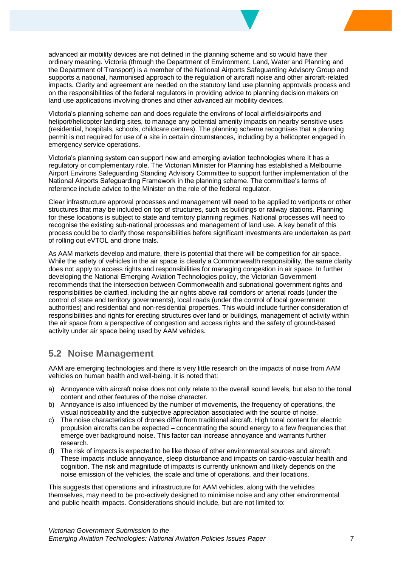advanced air mobility devices are not defined in the planning scheme and so would have their ordinary meaning. Victoria (through the Department of Environment, Land, Water and Planning and the Department of Transport) is a member of the National Airports Safeguarding Advisory Group and supports a national, harmonised approach to the regulation of aircraft noise and other aircraft-related impacts. Clarity and agreement are needed on the statutory land use planning approvals process and on the responsibilities of the federal regulators in providing advice to planning decision makers on land use applications involving drones and other advanced air mobility devices.

Victoria's planning scheme can and does regulate the environs of local airfields/airports and heliport/helicopter landing sites, to manage any potential amenity impacts on nearby sensitive uses (residential, hospitals, schools, childcare centres). The planning scheme recognises that a planning permit is not required for use of a site in certain circumstances, including by a helicopter engaged in emergency service operations.

Victoria's planning system can support new and emerging aviation technologies where it has a regulatory or complementary role. The Victorian Minister for Planning has established a Melbourne Airport Environs Safeguarding Standing Advisory Committee to support further implementation of the National Airports Safeguarding Framework in the planning scheme. The committee's terms of reference include advice to the Minister on the role of the federal regulator.

Clear infrastructure approval processes and management will need to be applied to vertiports or other structures that may be included on top of structures, such as buildings or railway stations. Planning for these locations is subject to state and territory planning regimes. National processes will need to recognise the existing sub-national processes and management of land use. A key benefit of this process could be to clarify those responsibilities before significant investments are undertaken as part of rolling out eVTOL and drone trials.

As AAM markets develop and mature, there is potential that there will be competition for air space. While the safety of vehicles in the air space is clearly a Commonwealth responsibility, the same clarity does not apply to access rights and responsibilities for managing congestion in air space. In further developing the National Emerging Aviation Technologies policy, the Victorian Government recommends that the intersection between Commonwealth and subnational government rights and responsibilities be clarified, including the air rights above rail corridors or arterial roads (under the control of state and territory governments), local roads (under the control of local government authorities) and residential and non-residential properties. This would include further consideration of responsibilities and rights for erecting structures over land or buildings, management of activity within the air space from a perspective of congestion and access rights and the safety of ground-based activity under air space being used by AAM vehicles.

### **5.2 Noise Management**

AAM are emerging technologies and there is very little research on the impacts of noise from AAM vehicles on human health and well-being. It is noted that:

- a) Annoyance with aircraft noise does not only relate to the overall sound levels, but also to the tonal content and other features of the noise character.
- b) Annoyance is also influenced by the number of movements, the frequency of operations, the visual noticeability and the subjective appreciation associated with the source of noise.
- c) The noise characteristics of drones differ from traditional aircraft. High tonal content for electric propulsion aircrafts can be expected – concentrating the sound energy to a few frequencies that emerge over background noise. This factor can increase annoyance and warrants further research.
- d) The risk of impacts is expected to be like those of other environmental sources and aircraft. These impacts include annoyance, sleep disturbance and impacts on cardio-vascular health and cognition. The risk and magnitude of impacts is currently unknown and likely depends on the noise emission of the vehicles, the scale and time of operations, and their locations.

This suggests that operations and infrastructure for AAM vehicles, along with the vehicles themselves, may need to be pro-actively designed to minimise noise and any other environmental and public health impacts. Considerations should include, but are not limited to: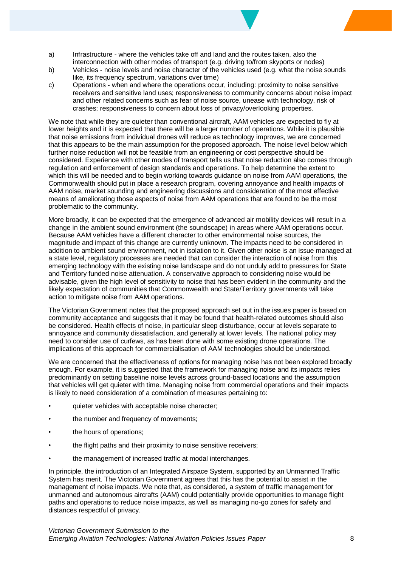- a) Infrastructure where the vehicles take off and land and the routes taken, also the interconnection with other modes of transport (e.g. driving to/from skyports or nodes)
- b) Vehicles noise levels and noise character of the vehicles used (e.g. what the noise sounds like, its frequency spectrum, variations over time)
- c) Operations when and where the operations occur, including: proximity to noise sensitive receivers and sensitive land uses; responsiveness to community concerns about noise impact and other related concerns such as fear of noise source, unease with technology, risk of crashes; responsiveness to concern about loss of privacy/overlooking properties.

We note that while they are quieter than conventional aircraft, AAM vehicles are expected to fly at lower heights and it is expected that there will be a larger number of operations. While it is plausible that noise emissions from individual drones will reduce as technology improves, we are concerned that this appears to be the main assumption for the proposed approach. The noise level below which further noise reduction will not be feasible from an engineering or cost perspective should be considered. Experience with other modes of transport tells us that noise reduction also comes through regulation and enforcement of design standards and operations. To help determine the extent to which this will be needed and to begin working towards guidance on noise from AAM operations, the Commonwealth should put in place a research program, covering annoyance and health impacts of AAM noise, market sounding and engineering discussions and consideration of the most effective means of ameliorating those aspects of noise from AAM operations that are found to be the most problematic to the community.

More broadly, it can be expected that the emergence of advanced air mobility devices will result in a change in the ambient sound environment (the soundscape) in areas where AAM operations occur. Because AAM vehicles have a different character to other environmental noise sources, the magnitude and impact of this change are currently unknown. The impacts need to be considered in addition to ambient sound environment, not in isolation to it. Given other noise is an issue managed at a state level, regulatory processes are needed that can consider the interaction of noise from this emerging technology with the existing noise landscape and do not unduly add to pressures for State and Territory funded noise attenuation. A conservative approach to considering noise would be advisable, given the high level of sensitivity to noise that has been evident in the community and the likely expectation of communities that Commonwealth and State/Territory governments will take action to mitigate noise from AAM operations.

The Victorian Government notes that the proposed approach set out in the issues paper is based on community acceptance and suggests that it may be found that health-related outcomes should also be considered. Health effects of noise, in particular sleep disturbance, occur at levels separate to annoyance and community dissatisfaction, and generally at lower levels. The national policy may need to consider use of curfews, as has been done with some existing drone operations. The implications of this approach for commercialisation of AAM technologies should be understood.

We are concerned that the effectiveness of options for managing noise has not been explored broadly enough. For example, it is suggested that the framework for managing noise and its impacts relies predominantly on setting baseline noise levels across ground-based locations and the assumption that vehicles will get quieter with time. Managing noise from commercial operations and their impacts is likely to need consideration of a combination of measures pertaining to:

- quieter vehicles with acceptable noise character;
- the number and frequency of movements;
- the hours of operations;
- the flight paths and their proximity to noise sensitive receivers;
- the management of increased traffic at modal interchanges.

In principle, the introduction of an Integrated Airspace System, supported by an Unmanned Traffic System has merit. The Victorian Government agrees that this has the potential to assist in the management of noise impacts. We note that, as considered, a system of traffic management for unmanned and autonomous aircrafts (AAM) could potentially provide opportunities to manage flight paths and operations to reduce noise impacts, as well as managing no-go zones for safety and distances respectful of privacy.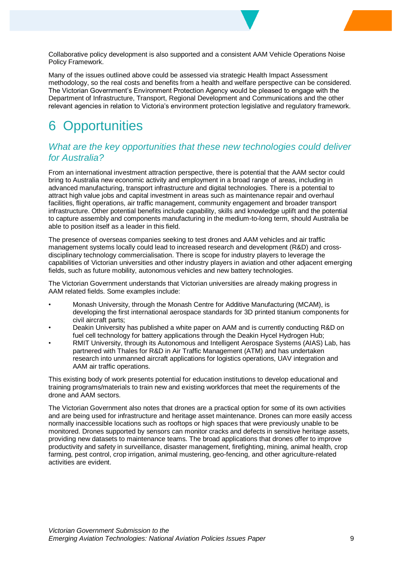Collaborative policy development is also supported and a consistent AAM Vehicle Operations Noise Policy Framework.

Many of the issues outlined above could be assessed via strategic Health Impact Assessment methodology, so the real costs and benefits from a health and welfare perspective can be considered. The Victorian Government's Environment Protection Agency would be pleased to engage with the Department of Infrastructure, Transport, Regional Development and Communications and the other relevant agencies in relation to Victoria's environment protection legislative and regulatory framework.

# **Opportunities**

#### *What are the key opportunities that these new technologies could deliver for Australia?*

From an international investment attraction perspective, there is potential that the AAM sector could bring to Australia new economic activity and employment in a broad range of areas, including in advanced manufacturing, transport infrastructure and digital technologies. There is a potential to attract high value jobs and capital investment in areas such as maintenance repair and overhaul facilities, flight operations, air traffic management, community engagement and broader transport infrastructure. Other potential benefits include capability, skills and knowledge uplift and the potential to capture assembly and components manufacturing in the medium-to-long term, should Australia be able to position itself as a leader in this field.

The presence of overseas companies seeking to test drones and AAM vehicles and air traffic management systems locally could lead to increased research and development (R&D) and crossdisciplinary technology commercialisation. There is scope for industry players to leverage the capabilities of Victorian universities and other industry players in aviation and other adjacent emerging fields, such as future mobility, autonomous vehicles and new battery technologies.

The Victorian Government understands that Victorian universities are already making progress in AAM related fields. Some examples include:

- Monash University, through the Monash Centre for Additive Manufacturing (MCAM), is developing the first international aerospace standards for 3D printed titanium components for civil aircraft parts;
- Deakin University has published a white paper on AAM and is currently conducting R&D on fuel cell technology for battery applications through the Deakin Hycel Hydrogen Hub;
- RMIT University, through its Autonomous and Intelligent Aerospace Systems (AIAS) Lab, has partnered with Thales for R&D in Air Traffic Management (ATM) and has undertaken research into unmanned aircraft applications for logistics operations, UAV integration and AAM air traffic operations.

This existing body of work presents potential for education institutions to develop educational and training programs/materials to train new and existing workforces that meet the requirements of the drone and AAM sectors.

The Victorian Government also notes that drones are a practical option for some of its own activities and are being used for infrastructure and heritage asset maintenance. Drones can more easily access normally inaccessible locations such as rooftops or high spaces that were previously unable to be monitored. Drones supported by sensors can monitor cracks and defects in sensitive heritage assets, providing new datasets to maintenance teams. The broad applications that drones offer to improve productivity and safety in surveillance, disaster management, firefighting, mining, animal health, crop farming, pest control, crop irrigation, animal mustering, geo-fencing, and other agriculture-related activities are evident.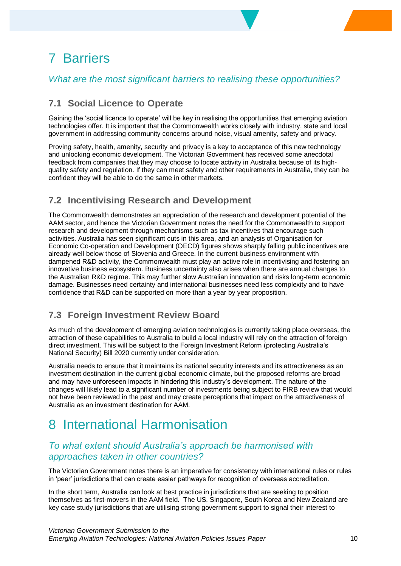# 7 Barriers

### *What are the most significant barriers to realising these opportunities?*

### **7.1 Social Licence to Operate**

Gaining the 'social licence to operate' will be key in realising the opportunities that emerging aviation technologies offer. It is important that the Commonwealth works closely with industry, state and local government in addressing community concerns around noise, visual amenity, safety and privacy.

Proving safety, health, amenity, security and privacy is a key to acceptance of this new technology and unlocking economic development. The Victorian Government has received some anecdotal feedback from companies that they may choose to locate activity in Australia because of its highquality safety and regulation. If they can meet safety and other requirements in Australia, they can be confident they will be able to do the same in other markets.

### **7.2 Incentivising Research and Development**

The Commonwealth demonstrates an appreciation of the research and development potential of the AAM sector, and hence the Victorian Government notes the need for the Commonwealth to support research and development through mechanisms such as tax incentives that encourage such activities. Australia has seen significant cuts in this area, and an analysis of Organisation for Economic Co-operation and Development (OECD) figures shows sharply falling public incentives are already well below those of Slovenia and Greece. In the current business environment with dampened R&D activity, the Commonwealth must play an active role in incentivising and fostering an innovative business ecosystem. Business uncertainty also arises when there are annual changes to the Australian R&D regime. This may further slow Australian innovation and risks long-term economic damage. Businesses need certainty and international businesses need less complexity and to have confidence that R&D can be supported on more than a year by year proposition.

### **7.3 Foreign Investment Review Board**

As much of the development of emerging aviation technologies is currently taking place overseas, the attraction of these capabilities to Australia to build a local industry will rely on the attraction of foreign direct investment. This will be subject to the Foreign Investment Reform (protecting Australia's National Security) Bill 2020 currently under consideration.

Australia needs to ensure that it maintains its national security interests and its attractiveness as an investment destination in the current global economic climate, but the proposed reforms are broad and may have unforeseen impacts in hindering this industry's development. The nature of the changes will likely lead to a significant number of investments being subject to FIRB review that would not have been reviewed in the past and may create perceptions that impact on the attractiveness of Australia as an investment destination for AAM.

### 8 International Harmonisation

### *To what extent should Australia's approach be harmonised with approaches taken in other countries?*

The Victorian Government notes there is an imperative for consistency with international rules or rules in 'peer' jurisdictions that can create easier pathways for recognition of overseas accreditation.

In the short term, Australia can look at best practice in jurisdictions that are seeking to position themselves as first-movers in the AAM field. The US, Singapore, South Korea and New Zealand are key case study jurisdictions that are utilising strong government support to signal their interest to